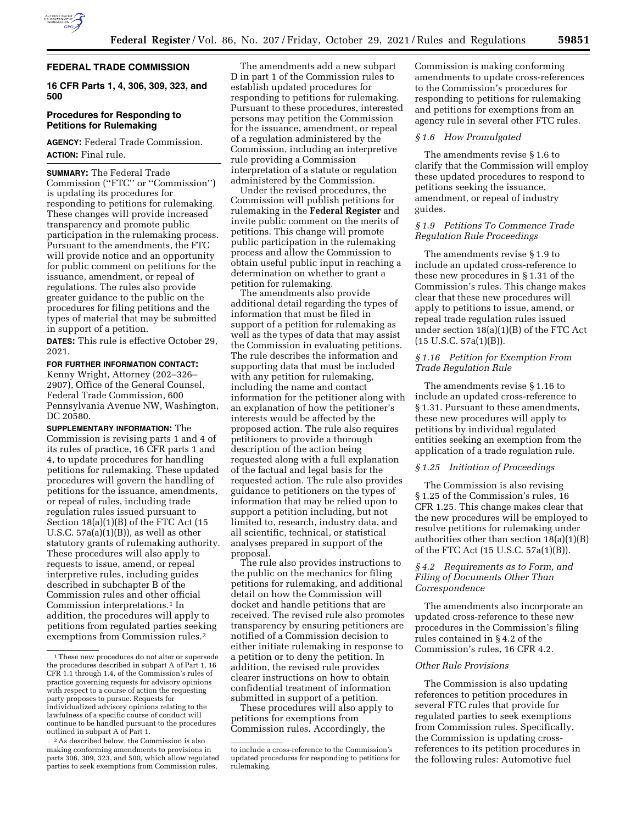

## **FEDERAL TRADE COMMISSION**

**16 CFR Parts 1, 4, 306, 309, 323, and 500** 

## **Procedures for Responding to Petitions for Rulemaking**

**AGENCY:** Federal Trade Commission. **ACTION:** Final rule.

**SUMMARY:** The Federal Trade Commission (''FTC'' or ''Commission'') is updating its procedures for responding to petitions for rulemaking. These changes will provide increased transparency and promote public participation in the rulemaking process. Pursuant to the amendments, the FTC will provide notice and an opportunity for public comment on petitions for the issuance, amendment, or repeal of regulations. The rules also provide greater guidance to the public on the procedures for filing petitions and the types of material that may be submitted in support of a petition.

**DATES:** This rule is effective October 29, 2021.

**FOR FURTHER INFORMATION CONTACT:**  Kenny Wright, Attorney (202–326– 2907), Office of the General Counsel, Federal Trade Commission, 600 Pennsylvania Avenue NW, Washington, DC 20580.

**SUPPLEMENTARY INFORMATION:** The Commission is revising parts 1 and 4 of its rules of practice, 16 CFR parts 1 and 4, to update procedures for handling petitions for rulemaking. These updated procedures will govern the handling of petitions for the issuance, amendments, or repeal of rules, including trade regulation rules issued pursuant to Section 18(a)(1)(B) of the FTC Act (15 U.S.C.  $57a(a)(1)(B)$ , as well as other statutory grants of rulemaking authority. These procedures will also apply to requests to issue, amend, or repeal interpretive rules, including guides described in subchapter B of the Commission rules and other official Commission interpretations.1 In addition, the procedures will apply to petitions from regulated parties seeking exemptions from Commission rules.2

The amendments add a new subpart D in part 1 of the Commission rules to establish updated procedures for responding to petitions for rulemaking. Pursuant to these procedures, interested persons may petition the Commission for the issuance, amendment, or repeal of a regulation administered by the Commission, including an interpretive rule providing a Commission interpretation of a statute or regulation administered by the Commission.

Under the revised procedures, the Commission will publish petitions for rulemaking in the **Federal Register** and invite public comment on the merits of petitions. This change will promote public participation in the rulemaking process and allow the Commission to obtain useful public input in reaching a determination on whether to grant a petition for rulemaking.

The amendments also provide additional detail regarding the types of information that must be filed in support of a petition for rulemaking as well as the types of data that may assist the Commission in evaluating petitions. The rule describes the information and supporting data that must be included with any petition for rulemaking, including the name and contact information for the petitioner along with an explanation of how the petitioner's interests would be affected by the proposed action. The rule also requires petitioners to provide a thorough description of the action being requested along with a full explanation of the factual and legal basis for the requested action. The rule also provides guidance to petitioners on the types of information that may be relied upon to support a petition including, but not limited to, research, industry data, and all scientific, technical, or statistical analyses prepared in support of the proposal.

The rule also provides instructions to the public on the mechanics for filing petitions for rulemaking, and additional detail on how the Commission will docket and handle petitions that are received. The revised rule also promotes transparency by ensuring petitioners are notified of a Commission decision to either initiate rulemaking in response to a petition or to deny the petition. In addition, the revised rule provides clearer instructions on how to obtain confidential treatment of information submitted in support of a petition.

These procedures will also apply to petitions for exemptions from Commission rules. Accordingly, the

Commission is making conforming amendments to update cross-references to the Commission's procedures for responding to petitions for rulemaking and petitions for exemptions from an agency rule in several other FTC rules.

## *§ 1.6 How Promulgated*

The amendments revise § 1.6 to clarify that the Commission will employ these updated procedures to respond to petitions seeking the issuance, amendment, or repeal of industry guides.

# *§ 1.9 Petitions To Commence Trade Regulation Rule Proceedings*

The amendments revise § 1.9 to include an updated cross-reference to these new procedures in § 1.31 of the Commission's rules. This change makes clear that these new procedures will apply to petitions to issue, amend, or repeal trade regulation rules issued under section 18(a)(1)(B) of the FTC Act  $(15 \text{ U.S.C. } 57a(1)(B)).$ 

# *§ 1.16 Petition for Exemption From Trade Regulation Rule*

The amendments revise § 1.16 to include an updated cross-reference to § 1.31. Pursuant to these amendments, these new procedures will apply to petitions by individual regulated entities seeking an exemption from the application of a trade regulation rule.

# *§ 1.25 Initiation of Proceedings*

The Commission is also revising § 1.25 of the Commission's rules, 16 CFR 1.25. This change makes clear that the new procedures will be employed to resolve petitions for rulemaking under authorities other than section 18(a)(1)(B) of the FTC Act (15 U.S.C. 57a(1)(B)).

# *§ 4.2 Requirements as to Form, and Filing of Documents Other Than Correspondence*

The amendments also incorporate an updated cross-reference to these new procedures in the Commission's filing rules contained in § 4.2 of the Commission's rules, 16 CFR 4.2.

### *Other Rule Provisions*

The Commission is also updating references to petition procedures in several FTC rules that provide for regulated parties to seek exemptions from Commission rules. Specifically, the Commission is updating crossreferences to its petition procedures in the following rules: Automotive fuel

<sup>1</sup>These new procedures do not alter or supersede the procedures described in subpart A of Part 1, 16 CFR 1.1 through 1.4, of the Commission's rules of practice governing requests for advisory opinions with respect to a course of action the requesting party proposes to pursue. Requests for individualized advisory opinions relating to the lawfulness of a specific course of conduct will continue to be handled pursuant to the procedures outlined in subpart A of Part 1.

<sup>2</sup>As described below, the Commission is also making conforming amendments to provisions in parts 306, 309, 323, and 500, which allow regulated parties to seek exemptions from Commission rules,

to include a cross-reference to the Commission's updated procedures for responding to petitions for rulemaking.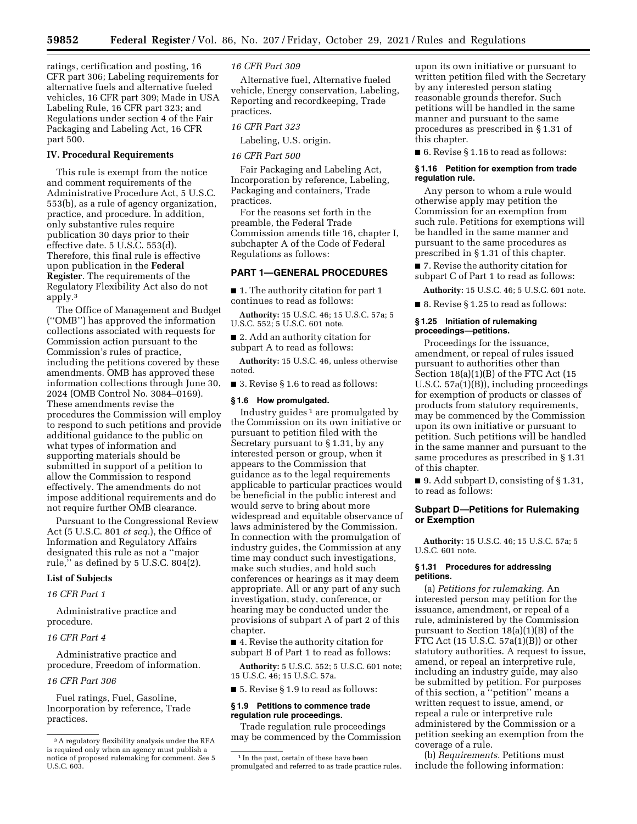ratings, certification and posting, 16 CFR part 306; Labeling requirements for alternative fuels and alternative fueled vehicles, 16 CFR part 309; Made in USA Labeling Rule, 16 CFR part 323; and Regulations under section 4 of the Fair Packaging and Labeling Act, 16 CFR part 500.

#### **IV. Procedural Requirements**

This rule is exempt from the notice and comment requirements of the Administrative Procedure Act, 5 U.S.C. 553(b), as a rule of agency organization, practice, and procedure. In addition, only substantive rules require publication 30 days prior to their effective date. 5 U.S.C. 553(d). Therefore, this final rule is effective upon publication in the **Federal Register**. The requirements of the Regulatory Flexibility Act also do not apply.3

The Office of Management and Budget (''OMB'') has approved the information collections associated with requests for Commission action pursuant to the Commission's rules of practice, including the petitions covered by these amendments. OMB has approved these information collections through June 30, 2024 (OMB Control No. 3084–0169). These amendments revise the procedures the Commission will employ to respond to such petitions and provide additional guidance to the public on what types of information and supporting materials should be submitted in support of a petition to allow the Commission to respond effectively. The amendments do not impose additional requirements and do not require further OMB clearance.

Pursuant to the Congressional Review Act (5 U.S.C. 801 *et seq.*), the Office of Information and Regulatory Affairs designated this rule as not a ''major rule,'' as defined by 5 U.S.C. 804(2).

## **List of Subjects**

# *16 CFR Part 1*

Administrative practice and procedure.

#### *16 CFR Part 4*

Administrative practice and procedure, Freedom of information.

## *16 CFR Part 306*

Fuel ratings, Fuel, Gasoline, Incorporation by reference, Trade practices.

*16 CFR Part 309* 

Alternative fuel, Alternative fueled vehicle, Energy conservation, Labeling, Reporting and recordkeeping, Trade practices.

## *16 CFR Part 323*

Labeling, U.S. origin.

## *16 CFR Part 500*

Fair Packaging and Labeling Act, Incorporation by reference, Labeling, Packaging and containers, Trade practices.

For the reasons set forth in the preamble, the Federal Trade Commission amends title 16, chapter I, subchapter A of the Code of Federal Regulations as follows:

# **PART 1—GENERAL PROCEDURES**

■ 1. The authority citation for part 1 continues to read as follows:

**Authority:** 15 U.S.C. 46; 15 U.S.C. 57a; 5 U.S.C. 552; 5 U.S.C. 601 note.

■ 2. Add an authority citation for subpart A to read as follows:

**Authority:** 15 U.S.C. 46, unless otherwise noted.

■ 3. Revise § 1.6 to read as follows:

#### **§ 1.6 How promulgated.**

Industry guides  $1$  are promulgated by the Commission on its own initiative or pursuant to petition filed with the Secretary pursuant to § 1.31, by any interested person or group, when it appears to the Commission that guidance as to the legal requirements applicable to particular practices would be beneficial in the public interest and would serve to bring about more widespread and equitable observance of laws administered by the Commission. In connection with the promulgation of industry guides, the Commission at any time may conduct such investigations, make such studies, and hold such conferences or hearings as it may deem appropriate. All or any part of any such investigation, study, conference, or hearing may be conducted under the provisions of subpart A of part 2 of this chapter.

■ 4. Revise the authority citation for subpart B of Part 1 to read as follows:

**Authority:** 5 U.S.C. 552; 5 U.S.C. 601 note; 15 U.S.C. 46; 15 U.S.C. 57a.

■ 5. Revise § 1.9 to read as follows:

#### **§ 1.9 Petitions to commence trade regulation rule proceedings.**

Trade regulation rule proceedings may be commenced by the Commission

upon its own initiative or pursuant to written petition filed with the Secretary by any interested person stating reasonable grounds therefor. Such petitions will be handled in the same manner and pursuant to the same procedures as prescribed in § 1.31 of this chapter.

■ 6. Revise § 1.16 to read as follows:

#### **§ 1.16 Petition for exemption from trade regulation rule.**

Any person to whom a rule would otherwise apply may petition the Commission for an exemption from such rule. Petitions for exemptions will be handled in the same manner and pursuant to the same procedures as prescribed in § 1.31 of this chapter.

■ 7. Revise the authority citation for subpart C of Part 1 to read as follows:

**Authority:** 15 U.S.C. 46; 5 U.S.C. 601 note.

■ 8. Revise § 1.25 to read as follows:

## **§ 1.25 Initiation of rulemaking proceedings—petitions.**

Proceedings for the issuance, amendment, or repeal of rules issued pursuant to authorities other than Section 18(a)(1)(B) of the FTC Act (15 U.S.C. 57a(1)(B)), including proceedings for exemption of products or classes of products from statutory requirements, may be commenced by the Commission upon its own initiative or pursuant to petition. Such petitions will be handled in the same manner and pursuant to the same procedures as prescribed in § 1.31 of this chapter.

■ 9. Add subpart D, consisting of § 1.31, to read as follows:

#### **Subpart D—Petitions for Rulemaking or Exemption**

**Authority:** 15 U.S.C. 46; 15 U.S.C. 57a; 5 U.S.C. 601 note.

#### **§ 1.31 Procedures for addressing petitions.**

(a) *Petitions for rulemaking.* An interested person may petition for the issuance, amendment, or repeal of a rule, administered by the Commission pursuant to Section 18(a)(1)(B) of the FTC Act (15 U.S.C. 57a(1)(B)) or other statutory authorities. A request to issue, amend, or repeal an interpretive rule, including an industry guide, may also be submitted by petition. For purposes of this section, a ''petition'' means a written request to issue, amend, or repeal a rule or interpretive rule administered by the Commission or a petition seeking an exemption from the coverage of a rule.

(b) *Requirements.* Petitions must include the following information:

<sup>3</sup>A regulatory flexibility analysis under the RFA is required only when an agency must publish a notice of proposed rulemaking for comment. *See* 5 U.S.C. 603.

<sup>&</sup>lt;sup>1</sup> In the past, certain of these have been promulgated and referred to as trade practice rules.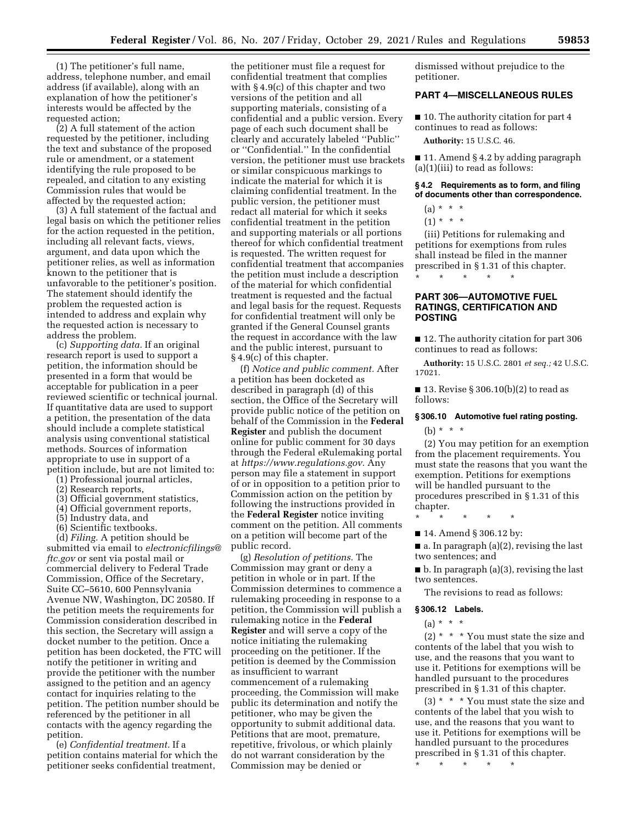(1) The petitioner's full name, address, telephone number, and email address (if available), along with an explanation of how the petitioner's interests would be affected by the requested action;

(2) A full statement of the action requested by the petitioner, including the text and substance of the proposed rule or amendment, or a statement identifying the rule proposed to be repealed, and citation to any existing Commission rules that would be affected by the requested action;

(3) A full statement of the factual and legal basis on which the petitioner relies for the action requested in the petition, including all relevant facts, views, argument, and data upon which the petitioner relies, as well as information known to the petitioner that is unfavorable to the petitioner's position. The statement should identify the problem the requested action is intended to address and explain why the requested action is necessary to address the problem.

(c) *Supporting data.* If an original research report is used to support a petition, the information should be presented in a form that would be acceptable for publication in a peer reviewed scientific or technical journal. If quantitative data are used to support a petition, the presentation of the data should include a complete statistical analysis using conventional statistical methods. Sources of information appropriate to use in support of a petition include, but are not limited to:

(1) Professional journal articles,

- (2) Research reports,
- (3) Official government statistics,
- (4) Official government reports,
- (5) Industry data, and
- (6) Scientific textbooks.

(d) *Filing.* A petition should be submitted via email to *[electronicfilings@](mailto:electronicfilings@ftc.gov) [ftc.gov](mailto:electronicfilings@ftc.gov)* or sent via postal mail or commercial delivery to Federal Trade Commission, Office of the Secretary, Suite CC–5610, 600 Pennsylvania Avenue NW, Washington, DC 20580. If the petition meets the requirements for Commission consideration described in this section, the Secretary will assign a docket number to the petition. Once a petition has been docketed, the FTC will notify the petitioner in writing and provide the petitioner with the number assigned to the petition and an agency contact for inquiries relating to the petition. The petition number should be referenced by the petitioner in all contacts with the agency regarding the petition.

(e) *Confidential treatment.* If a petition contains material for which the petitioner seeks confidential treatment,

the petitioner must file a request for confidential treatment that complies with § 4.9(c) of this chapter and two versions of the petition and all supporting materials, consisting of a confidential and a public version. Every page of each such document shall be clearly and accurately labeled ''Public'' or ''Confidential.'' In the confidential version, the petitioner must use brackets or similar conspicuous markings to indicate the material for which it is claiming confidential treatment. In the public version, the petitioner must redact all material for which it seeks confidential treatment in the petition and supporting materials or all portions thereof for which confidential treatment is requested. The written request for confidential treatment that accompanies the petition must include a description of the material for which confidential treatment is requested and the factual and legal basis for the request. Requests for confidential treatment will only be granted if the General Counsel grants the request in accordance with the law and the public interest, pursuant to § 4.9(c) of this chapter.

(f) *Notice and public comment.* After a petition has been docketed as described in paragraph (d) of this section, the Office of the Secretary will provide public notice of the petition on behalf of the Commission in the **Federal Register** and publish the document online for public comment for 30 days through the Federal eRulemaking portal at *[https://www.regulations.gov.](https://www.regulations.gov)* Any person may file a statement in support of or in opposition to a petition prior to Commission action on the petition by following the instructions provided in the **Federal Register** notice inviting comment on the petition. All comments on a petition will become part of the public record.

(g) *Resolution of petitions.* The Commission may grant or deny a petition in whole or in part. If the Commission determines to commence a rulemaking proceeding in response to a petition, the Commission will publish a rulemaking notice in the **Federal Register** and will serve a copy of the notice initiating the rulemaking proceeding on the petitioner. If the petition is deemed by the Commission as insufficient to warrant commencement of a rulemaking proceeding, the Commission will make public its determination and notify the petitioner, who may be given the opportunity to submit additional data. Petitions that are moot, premature, repetitive, frivolous, or which plainly do not warrant consideration by the Commission may be denied or

dismissed without prejudice to the petitioner.

#### **PART 4—MISCELLANEOUS RULES**

■ 10. The authority citation for part 4 continues to read as follows:

**Authority:** 15 U.S.C. 46.

■ 11. Amend § 4.2 by adding paragraph (a)(1)(iii) to read as follows:

**§ 4.2 Requirements as to form, and filing of documents other than correspondence.** 

- $(a) * * * *$
- $(1) * * * *$

(iii) Petitions for rulemaking and petitions for exemptions from rules shall instead be filed in the manner prescribed in § 1.31 of this chapter.

# **PART 306—AUTOMOTIVE FUEL RATINGS, CERTIFICATION AND POSTING**

\* \* \* \* \*

■ 12. The authority citation for part 306 continues to read as follows:

**Authority:** 15 U.S.C. 2801 *et seq.;* 42 U.S.C. 17021.

■ 13. Revise § 306.10(b)(2) to read as follows:

## **§ 306.10 Automotive fuel rating posting.**

(b) \* \* \*

(2) You may petition for an exemption from the placement requirements. You must state the reasons that you want the exemption. Petitions for exemptions will be handled pursuant to the procedures prescribed in § 1.31 of this chapter.

\* \* \* \* \*

■ 14. Amend § 306.12 by:

 $\blacksquare$  a. In paragraph (a)(2), revising the last two sentences; and

■ b. In paragraph (a)(3), revising the last two sentences.

The revisions to read as follows:

#### **§ 306.12 Labels.**

 $(a) * * * *$ 

 $(2)$  \* \* \* You must state the size and contents of the label that you wish to use, and the reasons that you want to use it. Petitions for exemptions will be handled pursuant to the procedures prescribed in § 1.31 of this chapter.

(3) \* \* \* You must state the size and contents of the label that you wish to use, and the reasons that you want to use it. Petitions for exemptions will be handled pursuant to the procedures prescribed in § 1.31 of this chapter.

\* \* \* \* \*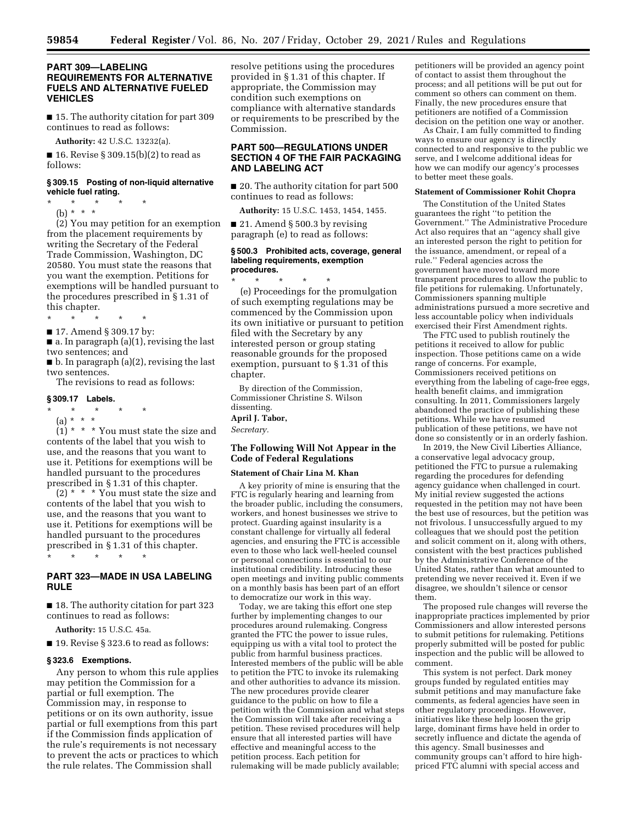## **PART 309—LABELING REQUIREMENTS FOR ALTERNATIVE FUELS AND ALTERNATIVE FUELED VEHICLES**

■ 15. The authority citation for part 309 continues to read as follows:

**Authority:** 42 U.S.C. 13232(a).

■ 16. Revise § 309.15(b)(2) to read as follows:

#### **§ 309.15 Posting of non-liquid alternative vehicle fuel rating.**

 $*$  \*

(b) \* \* \*

(2) You may petition for an exemption from the placement requirements by writing the Secretary of the Federal Trade Commission, Washington, DC 20580. You must state the reasons that you want the exemption. Petitions for exemptions will be handled pursuant to the procedures prescribed in § 1.31 of this chapter.

- \* \* \* \* \*
- 17. Amend § 309.17 by:

■ a. In paragraph (a)(1), revising the last two sentences; and

 $\blacksquare$  b. In paragraph (a)(2), revising the last two sentences.

The revisions to read as follows:

#### **§ 309.17 Labels.**

- \* \* \* \* \*
- (a) \* \* \*

 $(1)$  \* \* \* You must state the size and contents of the label that you wish to use, and the reasons that you want to use it. Petitions for exemptions will be handled pursuant to the procedures prescribed in § 1.31 of this chapter.

 $(2)$  \* \* \* You must state the size and contents of the label that you wish to use, and the reasons that you want to use it. Petitions for exemptions will be handled pursuant to the procedures prescribed in § 1.31 of this chapter.

\* \* \* \* \*

# **PART 323—MADE IN USA LABELING RULE**

■ 18. The authority citation for part 323 continues to read as follows:

**Authority:** 15 U.S.C. 45a.

■ 19. Revise § 323.6 to read as follows:

#### **§ 323.6 Exemptions.**

Any person to whom this rule applies may petition the Commission for a partial or full exemption. The Commission may, in response to petitions or on its own authority, issue partial or full exemptions from this part if the Commission finds application of the rule's requirements is not necessary to prevent the acts or practices to which the rule relates. The Commission shall

resolve petitions using the procedures provided in § 1.31 of this chapter. If appropriate, the Commission may condition such exemptions on compliance with alternative standards or requirements to be prescribed by the Commission.

## **PART 500—REGULATIONS UNDER SECTION 4 OF THE FAIR PACKAGING AND LABELING ACT**

■ 20. The authority citation for part 500 continues to read as follows:

**Authority:** 15 U.S.C. 1453, 1454, 1455.

■ 21. Amend § 500.3 by revising paragraph (e) to read as follows:

#### **§ 500.3 Prohibited acts, coverage, general labeling requirements, exemption procedures.**

\* \* \* \* \* (e) Proceedings for the promulgation of such exempting regulations may be commenced by the Commission upon its own initiative or pursuant to petition filed with the Secretary by any interested person or group stating reasonable grounds for the proposed exemption, pursuant to § 1.31 of this chapter.

By direction of the Commission, Commissioner Christine S. Wilson dissenting.

**April J. Tabor,** 

*Secretary.* 

#### **The Following Will Not Appear in the Code of Federal Regulations**

## **Statement of Chair Lina M. Khan**

A key priority of mine is ensuring that the FTC is regularly hearing and learning from the broader public, including the consumers, workers, and honest businesses we strive to protect. Guarding against insularity is a constant challenge for virtually all federal agencies, and ensuring the FTC is accessible even to those who lack well-heeled counsel or personal connections is essential to our institutional credibility. Introducing these open meetings and inviting public comments on a monthly basis has been part of an effort to democratize our work in this way.

Today, we are taking this effort one step further by implementing changes to our procedures around rulemaking. Congress granted the FTC the power to issue rules, equipping us with a vital tool to protect the public from harmful business practices. Interested members of the public will be able to petition the FTC to invoke its rulemaking and other authorities to advance its mission. The new procedures provide clearer guidance to the public on how to file a petition with the Commission and what steps the Commission will take after receiving a petition. These revised procedures will help ensure that all interested parties will have effective and meaningful access to the petition process. Each petition for rulemaking will be made publicly available;

petitioners will be provided an agency point of contact to assist them throughout the process; and all petitions will be put out for comment so others can comment on them. Finally, the new procedures ensure that petitioners are notified of a Commission decision on the petition one way or another.

As Chair, I am fully committed to finding ways to ensure our agency is directly connected to and responsive to the public we serve, and I welcome additional ideas for how we can modify our agency's processes to better meet these goals.

#### **Statement of Commissioner Rohit Chopra**

The Constitution of the United States guarantees the right ''to petition the Government.'' The Administrative Procedure Act also requires that an ''agency shall give an interested person the right to petition for the issuance, amendment, or repeal of a rule.'' Federal agencies across the government have moved toward more transparent procedures to allow the public to file petitions for rulemaking. Unfortunately, Commissioners spanning multiple administrations pursued a more secretive and less accountable policy when individuals exercised their First Amendment rights.

The FTC used to publish routinely the petitions it received to allow for public inspection. Those petitions came on a wide range of concerns. For example, Commissioners received petitions on everything from the labeling of cage-free eggs, health benefit claims, and immigration consulting. In 2011, Commissioners largely abandoned the practice of publishing these petitions. While we have resumed publication of these petitions, we have not done so consistently or in an orderly fashion.

In 2019, the New Civil Liberties Alliance, a conservative legal advocacy group, petitioned the FTC to pursue a rulemaking regarding the procedures for defending agency guidance when challenged in court. My initial review suggested the actions requested in the petition may not have been the best use of resources, but the petition was not frivolous. I unsuccessfully argued to my colleagues that we should post the petition and solicit comment on it, along with others, consistent with the best practices published by the Administrative Conference of the United States, rather than what amounted to pretending we never received it. Even if we disagree, we shouldn't silence or censor them.

The proposed rule changes will reverse the inappropriate practices implemented by prior Commissioners and allow interested persons to submit petitions for rulemaking. Petitions properly submitted will be posted for public inspection and the public will be allowed to comment.

This system is not perfect. Dark money groups funded by regulated entities may submit petitions and may manufacture fake comments, as federal agencies have seen in other regulatory proceedings. However, initiatives like these help loosen the grip large, dominant firms have held in order to secretly influence and dictate the agenda of this agency. Small businesses and community groups can't afford to hire highpriced FTC alumni with special access and